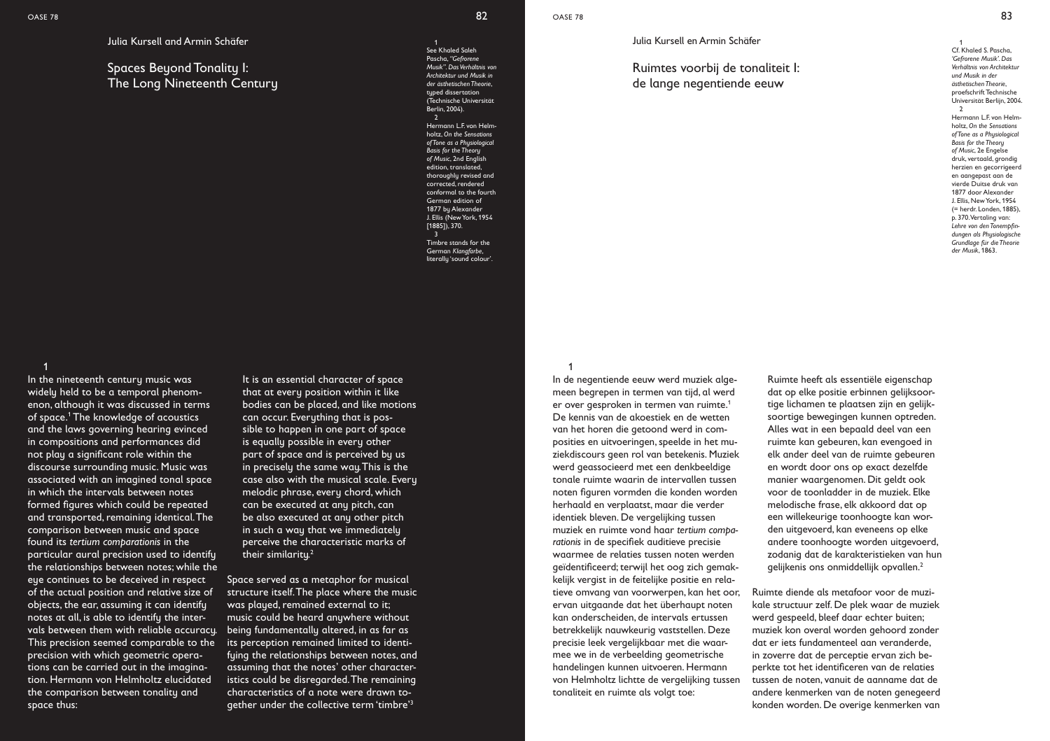#### Julia Kursell and Armin Schäfer

# Spaces Beyond Tonality I: The Long Nineteenth Century

It is an essential character of space that at every position within it like bodies can be placed, and like motions can occur. Everything that is possible to happen in one part of space is equally possible in every other part of space and is perceived by us in precisely the same way. This is the case also with the musical scale. Every melodic phrase, every chord, which can be executed at any pitch, can be also executed at any other pitch in such a way that we immediately perceive the characteristic marks of their similarity.<sup>2</sup>

Space served as a metaphor for musical structure itself. The place where the music was played, remained external to it; music could be heard anywhere without being fundamentally altered, in as far as its perception remained limited to identifying the relationships between notes, and assuming that the notes' other characteristics could be disregarded. The remaining characteristics of a note were drawn together under the collective term 'timbre'3

 1 See Khaled Saleh Pascha, *"Gefrorene Musik". Das Verhältnis von Architektur und Musik in der ästhetischen Theorie*, tuped dissertation (Technische Universität Berlin, 2004).

 2 Hermann L.F. von Helmholtz, *On the Sensations of Tone as a Physiological Basis for the Theory of Music*, 2nd English edition, translated, thoroughly revised and corrected, rendered conformal to the fourth German edition of 1877 by Alexander J. Ellis (New York, 1954 [1885]), 370. 3 Timbre stands for the German *Klangfarbe*, literally 'sound colour'.

#### Julia Kursell en Armin Schäfer

Ruimtes voorbij de tonaliteit I: de lange negentiende eeuw

 1 Cf. Khaled S. Pascha, *'Gefrorene Musik'. Das Verhältnis von Architektur und Musik in der ästhetischen Theorie*, proefschrift Technische Universität Berlijn, 2004.

 $\overline{2}$ 

Hermann L.F. von Helmholtz, *On the Sensations of Tone as a Physiological Basis for the Theory of Music*, 2e Engelse druk, vertaald, grondig herzien en gecorrigeerd en aangepast aan de vierde Duitse druk van 1877 door Alexander J. Ellis, New York, 1954 (= herdr. Londen, 1885), p. 370. Vertaling van: *Lehre von den Tonempfindungen als Physiologische Grundlage für die Theorie der Musik*, 1863.

1

In de negentiende eeuw werd muziek algemeen begrepen in termen van tijd, al werd er over gesproken in termen van ruimte.<sup>1</sup> De kennis van de akoestiek en de wetten van het horen die getoond werd in composities en uitvoeringen, speelde in het muziekdiscours geen rol van betekenis. Muziek werd geassocieerd met een denkbeeldige tonale ruimte waarin de intervallen tussen noten figuren vormden die konden worden herhaald en verplaatst, maar die verder identiek bleven. De vergelijking tussen muziek en ruimte vond haar *tertium comparationis* in de specifiek auditieve precisie waarmee de relaties tussen noten werden geïdentificeerd; terwijl het oog zich gemakkelijk vergist in de feitelijke positie en relatieve omvang van voorwerpen, kan het oor, ervan uitgaande dat het überhaupt noten kan onderscheiden, de intervals ertussen betrekkelijk nauwkeurig vaststellen. Deze precisie leek vergelijkbaar met die waarmee we in de verbeelding geometrische handelingen kunnen uitvoeren. Hermann von Helmholtz lichtte de vergelijking tussen tonaliteit en ruimte als volgt toe:

Ruimte heeft als essentiële eigenschap dat op elke positie erbinnen gelijksoortige lichamen te plaatsen zijn en gelijksoortige bewegingen kunnen optreden. Alles wat in een bepaald deel van een ruimte kan gebeuren, kan evengoed in elk ander deel van de ruimte gebeuren en wordt door ons op exact dezelfde manier waargenomen. Dit geldt ook voor de toonladder in de muziek. Elke melodische frase, elk akkoord dat op een willekeurige toonhoogte kan worden uitgevoerd, kan eveneens op elke andere toonhoogte worden uitgevoerd, zodanig dat de karakteristieken van hun gelijkenis ons onmiddellijk opvallen.2

Ruimte diende als metafoor voor de muzikale structuur zelf. De plek waar de muziek werd gespeeld, bleef daar echter buiten; muziek kon overal worden gehoord zonder dat er iets fundamenteel aan veranderde, in zoverre dat de perceptie ervan zich beperkte tot het identificeren van de relaties tussen de noten, vanuit de aanname dat de andere kenmerken van de noten genegeerd konden worden. De overige kenmerken van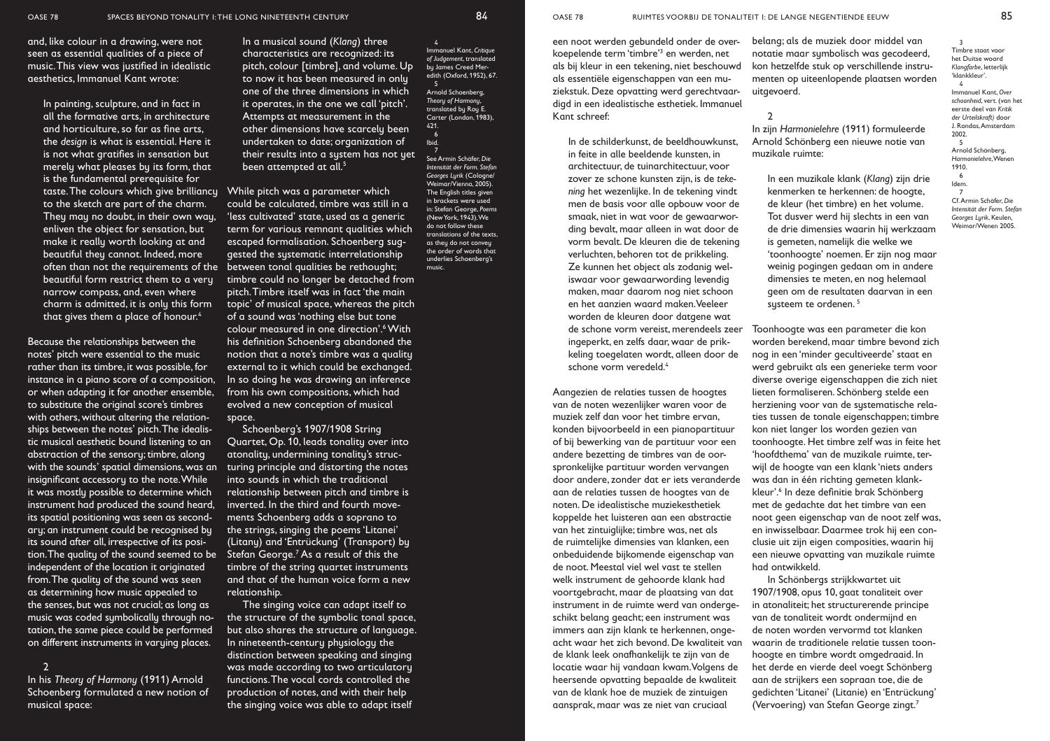and, like colour in a drawing, were not seen as essential qualities of a piece of music. This view was justified in idealistic aesthetics, Immanuel Kant wrote:

In painting, sculpture, and in fact in all the formative arts, in architecture and horticulture, so far as fine arts, the *design* is what is essential. Here it is not what gratifies in sensation but merely what pleases by its form, that is the fundamental prerequisite for taste. The colours which give brilliancy While pitch was a parameter which to the sketch are part of the charm. They may no doubt, in their own way, enliven the object for sensation, but make it really worth looking at and beautiful they cannot. Indeed, more often than not the requirements of the between tonal qualities be rethought; beautiful form restrict them to a very narrow compass, and, even where charm is admitted, it is only this form that gives them a place of honour.<sup>4</sup>

Because the relationships between the notes' pitch were essential to the music rather than its timbre, it was possible, for instance in a piano score of a composition, or when adapting it for another ensemble, to substitute the original score's timbres with others, without altering the relationships between the notes' pitch. The idealistic musical aesthetic bound listening to an abstraction of the sensory; timbre, along with the sounds' spatial dimensions, was an insignificant accessory to the note. While it was mostly possible to determine which instrument had produced the sound heard, its spatial positioning was seen as secondary; an instrument could be recognised by its sound after all, irrespective of its position. The quality of the sound seemed to be independent of the location it originated from. The quality of the sound was seen as determining how music appealed to the senses, but was not crucial; as long as music was coded symbolically through notation, the same piece could be performed on different instruments in varying places.

## 2

In his *Theory of Harmony* (1911) Arnold Schoenberg formulated a new notion of musical space:

In a musical sound (*Klang*) three characteristics are recognized: its pitch, colour [timbre], and volume. Up to now it has been measured in only one of the three dimensions in which it operates, in the one we call 'pitch'. Attempts at measurement in the other dimensions have scarcely been undertaken to date; organization of their results into a system has not yet been attempted at all.<sup>5</sup>

could be calculated, timbre was still in a 'less cultivated' state, used as a generic term for various remnant qualities which escaped formalisation. Schoenberg suggested the systematic interrelationship timbre could no longer be detached from pitch. Timbre itself was in fact 'the main topic' of musical space, whereas the pitch of a sound was 'nothing else but tone colour measured in one direction'.6 With his definition Schoenberg abandoned the notion that a note's timbre was a quality external to it which could be exchanged. In so doing he was drawing an inference from his own compositions, which had evolved a new conception of musical space.

Schoenberg's 1907/1908 String Quartet, Op. 10, leads tonality over into atonality, undermining tonality's structuring principle and distorting the notes into sounds in which the traditional relationship between pitch and timbre is inverted. In the third and fourth movements Schoenberg adds a soprano to the strings, singing the poems 'Litanei' (Litany) and 'Entrückung' (Transport) by Stefan George.<sup>7</sup> As a result of this the timbre of the string quartet instruments and that of the human voice form a new relationship.

The singing voice can adapt itself to the structure of the symbolic tonal space, but also shares the structure of language. In nineteenth-century physiology the distinction between speaking and singing was made according to two articulatory functions. The vocal cords controlled the production of notes, and with their help the singing voice was able to adapt itself

 4 Immanuel Kant, *Critique of Judgement*, translated by James Creed Meredith (Oxford, 1952), 67.

 5 Arnold Schoenberg, *Theory of Harmony*, translated by Roy E. Carter (London, 1983), 421.

 6 Ibid.

 7 See Armin Schäfer, *Die Intensität der Form. Stefan Georges Lyrik* (Cologne/ Weimar/Vienna, 2005). The English titles given in brackets were used in: Stefan George, *Poems* (New York, 1943). We do not follow these translations of the texts, as they do not convey the order of words that underlies Schoenberg's music.

een noot werden gebundeld onder de overkoepelende term 'timbre'3 en werden, net als bij kleur in een tekening, niet beschouwd als essentiële eigenschappen van een muziekstuk. Deze opvatting werd gerechtvaardigd in een idealistische esthetiek. Immanuel Kant schreef:

In de schilderkunst, de beeldhouwkunst, in feite in alle beeldende kunsten, in architectuur, de tuinarchitectuur, voor zover ze schone kunsten zijn, is de *tekening* het wezenlijke. In de tekening vindt men de basis voor alle opbouw voor de smaak, niet in wat voor de gewaarwording bevalt, maar alleen in wat door de vorm bevalt. De kleuren die de tekening verluchten, behoren tot de prikkeling. Ze kunnen het object als zodanig weliswaar voor gewaarwording levendig maken, maar daarom nog niet schoon en het aanzien waard maken. Veeleer worden de kleuren door datgene wat de schone vorm vereist, merendeels zeer ingeperkt, en zelfs daar, waar de prikkeling toegelaten wordt, alleen door de schone vorm veredeld.4

Aangezien de relaties tussen de hoogtes van de noten wezenlijker waren voor de muziek zelf dan voor het timbre ervan, konden bijvoorbeeld in een pianopartituur of bij bewerking van de partituur voor een andere bezetting de timbres van de oorspronkelijke partituur worden vervangen door andere, zonder dat er iets veranderde aan de relaties tussen de hoogtes van de noten. De idealistische muziekesthetiek koppelde het luisteren aan een abstractie van het zintuiglijke; timbre was, net als de ruimtelijke dimensies van klanken, een onbeduidende bijkomende eigenschap van de noot. Meestal viel wel vast te stellen welk instrument de gehoorde klank had voortgebracht, maar de plaatsing van dat instrument in de ruimte werd van ondergeschikt belang geacht; een instrument was immers aan zijn klank te herkennen, ongeacht waar het zich bevond. De kwaliteit van de klank leek onafhankelijk te zijn van de locatie waar hij vandaan kwam. Volgens de heersende opvatting bepaalde de kwaliteit van de klank hoe de muziek de zintuigen aansprak, maar was ze niet van cruciaal

belang; als de muziek door middel van notatie maar symbolisch was gecodeerd, kon hetzelfde stuk op verschillende instrumenten op uiteenlopende plaatsen worden uitgevoerd.

#### $\mathcal{L}$

In zijn *Harmonielehre* (1911) formuleerde Arnold Schönberg een nieuwe notie van muzikale ruimte:

In een muzikale klank (*Klang*) zijn drie kenmerken te herkennen: de hoogte, de kleur (het timbre) en het volume. Tot dusver werd hij slechts in een van de drie dimensies waarin hij werkzaam is gemeten, namelijk die welke we 'toonhoogte' noemen. Er zijn nog maar weinig pogingen gedaan om in andere dimensies te meten, en nog helemaal geen om de resultaten daarvan in een systeem te ordenen.<sup>5</sup>

Toonhoogte was een parameter die kon worden berekend, maar timbre bevond zich nog in een 'minder gecultiveerde' staat en werd gebruikt als een generieke term voor diverse overige eigenschappen die zich niet lieten formaliseren. Schönberg stelde een herziening voor van de systematische relaties tussen de tonale eigenschappen; timbre kon niet langer los worden gezien van toonhoogte. Het timbre zelf was in feite het 'hoofdthema' van de muzikale ruimte, terwijl de hoogte van een klank 'niets anders was dan in één richting gemeten klankkleur'.6 In deze definitie brak Schönberg met de gedachte dat het timbre van een noot geen eigenschap van de noot zelf was, en inwisselbaar. Daarmee trok hij een conclusie uit zijn eigen composities, waarin hij een nieuwe opvatting van muzikale ruimte had ontwikkeld.

In Schönbergs strijkkwartet uit 1907/1908, opus 10, gaat tonaliteit over in atonaliteit; het structurerende principe van de tonaliteit wordt ondermijnd en de noten worden vervormd tot klanken waarin de traditionele relatie tussen toonhoogte en timbre wordt omgedraaid. In het derde en vierde deel voegt Schönberg aan de strijkers een sopraan toe, die de gedichten 'Litanei' (Litanie) en 'Entrückung' (Vervoering) van Stefan George zingt.7

Timbre staat voor het Duitse woord *Klangfarbe*, letterlijk 'klankkleur'. 4 Immanuel Kant, *Over schoonheid*, vert. (van het eerste deel van *Kritik der Urteilskraft)* door J. Rondas, Amsterdam 2002. 5

Arnold Schönberg, *Harmonielehre*, Wenen

 7 Cf. Armin Schäfer, *Die Intensität der Form. Stefan Georges Lyrik*, Keulen, Weimar/Wenen 2005.

1910. 6 Idem.

3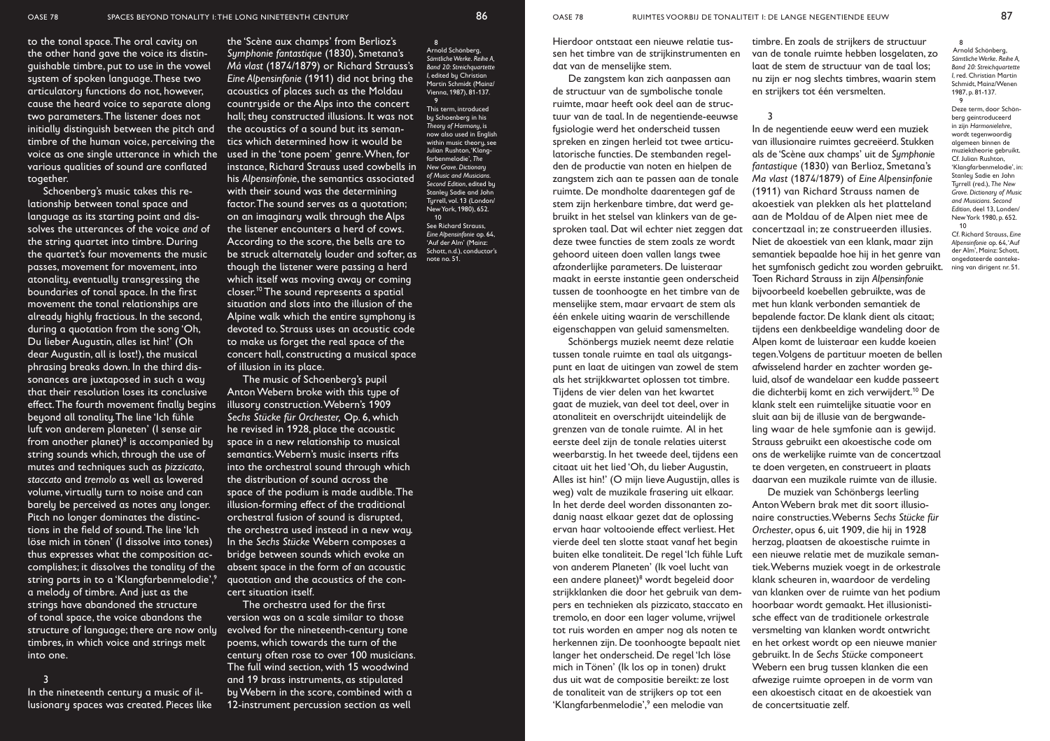OASE 78 86 OASE 78 BENOLUS EN SPACES BEYOND TONALITY I: THE LONG NINETEENTH CENTURY OF SAMELITEIT OF LANGE NEGENTIENDE EEUW BENOLUS EN SAMELITEIT II: DE LANGE NEGENTIENDE EEUW BENOLUS EEUW BENOLUS EEUW BENOLUS EEUW BENOLUS

to the tonal space. The oral cavity on the other hand gave the voice its distinguishable timbre, put to use in the vowel system of spoken language. These two articulatory functions do not, however, cause the heard voice to separate along two parameters. The listener does not initially distinguish between the pitch and timbre of the human voice, perceiving the  $\;$  tics which determined how it would be voice as one single utterance in which the used in the 'tone poem' genre. When, for various qualities of sound are conflated together.

Schoenberg's music takes this relationship between tonal space and language as its starting point and dissolves the utterances of the voice *and* of the string quartet into timbre. During the quartet's four movements the music passes, movement for movement, into atonality, eventually transgressing the boundaries of tonal space. In the first movement the tonal relationships are already highly fractious. In the second, during a quotation from the song 'Oh, Du lieber Augustin, alles ist hin!' (Oh dear Augustin, all is lost!), the musical phrasing breaks down. In the third dissonances are juxtaposed in such a way that their resolution loses its conclusive effect. The fourth movement finally begins beyond all tonality. The line 'Ich fühle luft von anderem planeten' (I sense air from another planet) $^8$  is accompanied by string sounds which, through the use of mutes and techniques such as *pizzicato*, *staccato* and *tremolo* as well as lowered volume, virtually turn to noise and can barely be perceived as notes any longer. Pitch no longer dominates the distinctions in the field of sound. The line 'Ich löse mich in tönen' (I dissolve into tones) thus expresses what the composition accomplishes; it dissolves the tonality of the string parts in to a 'Klangfarbenmelodie',<sup>9</sup> a melody of timbre. And just as the strings have abandoned the structure of tonal space, the voice abandons the structure of language; there are now only timbres, in which voice and strings melt into one.

## 3

In the nineteenth century a music of illusionary spaces was created. Pieces like

the 'Scène aux champs' from Berlioz's *Symphonie fantastique* (1830), Smetana's *Má vlast* (1874/1879) or Richard Strauss's *Eine Alpensinfonie* (1911) did not bring the acoustics of places such as the Moldau countryside or the Alps into the concert hall; they constructed illusions. It was not the acoustics of a sound but its semaninstance, Richard Strauss used cowbells in his *Alpensinfonie*, the semantics associated with their sound was the determining factor. The sound serves as a quotation; on an imaginary walk through the Alps the listener encounters a herd of cows. According to the score, the bells are to be struck alternately louder and softer, as though the listener were passing a herd which itself was moving away or coming closer.10 The sound represents a spatial situation and slots into the illusion of the Alpine walk which the entire symphony is devoted to. Strauss uses an acoustic code to make us forget the real space of the concert hall, constructing a musical space

The music of Schoenberg's pupil Anton Webern broke with this type of illusoru construction. Webern's 1909 *Sechs Stücke für Orchester,* Op. 6, which he revised in 1928, place the acoustic space in a new relationship to musical semantics. Webern's music inserts rifts into the orchestral sound through which the distribution of sound across the space of the podium is made audible. The illusion-forming effect of the traditional orchestral fusion of sound is disrupted, the orchestra used instead in a new way. In the *Sechs Stücke* Webern composes a bridge between sounds which evoke an absent space in the form of an acoustic quotation and the acoustics of the concert situation itself.

of illusion in its place.

The orchestra used for the first version was on a scale similar to those evolved for the nineteenth-century tone poems, which towards the turn of the century often rose to over 100 musicians. The full wind section, with 15 woodwind and 19 brass instruments, as stipulated by Webern in the score, combined with a 12-instrument percussion section as well

 8 Arnold Schönberg, *Sämtliche Werke. Reihe A, Band 20: Streichquartette I*, edited by Christian Martin Schmidt (Mainz/ Vienna, 1987), 81-137.

 9 This term, introduced by Schoenberg in his *Theory of Harmony*, is now also used in English within music theory, see Julian Rushton, 'Klangfarbenmelodie', *The New Grove. Dictionary of Music and Musicians. Second Edition*, edited by Stanley Sadie and John Tyrrell, vol. 13 (London/ New York, 1980), 652. 10

See Richard Strauss, *Eine Alpensinfonie* op. 64, 'Auf der Alm' (Mainz: Schott, n.d.), conductor's note no. 51.

Hierdoor ontstaat een nieuwe relatie tussen het timbre van de strijkinstrumenten en dat van de menselijke stem.

De zangstem kan zich aanpassen aan de structuur van de symbolische tonale ruimte, maar heeft ook deel aan de structuur van de taal. In de negentiende-eeuwse fysiologie werd het onderscheid tussen spreken en zingen herleid tot twee articulatorische functies. De stembanden regelden de productie van noten en hielpen de zangstem zich aan te passen aan de tonale ruimte. De mondholte daarentegen gaf de stem zijn herkenbare timbre, dat werd gebruikt in het stelsel van klinkers van de gesproken taal. Dat wil echter niet zeggen dat deze twee functies de stem zoals ze wordt gehoord uiteen doen vallen langs twee afzonderlijke parameters. De luisteraar maakt in eerste instantie geen onderscheid tussen de toonhoogte en het timbre van de menselijke stem, maar ervaart de stem als één enkele uiting waarin de verschillende eigenschappen van geluid samensmelten.

Schönbergs muziek neemt deze relatie tussen tonale ruimte en taal als uitgangspunt en laat de uitingen van zowel de stem als het strijkkwartet oplossen tot timbre. Tijdens de vier delen van het kwartet gaat de muziek, van deel tot deel, over in atonaliteit en overschrijdt uiteindelijk de grenzen van de tonale ruimte. Al in het eerste deel zijn de tonale relaties uiterst weerbarstig. In het tweede deel, tijdens een citaat uit het lied 'Oh, du lieber Augustin, Alles ist hin!' (O mijn lieve Augustijn, alles is weg) valt de muzikale frasering uit elkaar. In het derde deel worden dissonanten zodanig naast elkaar gezet dat de oplossing ervan haar voltooiende effect verliest. Het vierde deel ten slotte staat vanaf het begin buiten elke tonaliteit. De regel 'Ich fühle Luft von anderem Planeten' (Ik voel lucht van een andere planeet)<sup>8</sup> wordt begeleid door strijkklanken die door het gebruik van dempers en technieken als pizzicato, staccato en tremolo, en door een lager volume, vrijwel tot ruis worden en amper nog als noten te herkennen zijn. De toonhoogte bepaalt niet langer het onderscheid. De regel 'Ich löse mich in Tönen' (Ik los op in tonen) drukt dus uit wat de compositie bereikt: ze lost de tonaliteit van de strijkers op tot een 'Klangfarbenmelodie',<sup>9</sup> een melodie van

timbre. En zoals de strijkers de structuur van de tonale ruimte hebben losgelaten, zo laat de stem de structuur van de taal los; nu zijn er nog slechts timbres, waarin stem en strijkers tot één versmelten.

## 3

het symfonisch gedicht zou worden gebruikt. ning van dirigent nr. 51. In de negentiende eeuw werd een muziek van illusionaire ruimtes gecreëerd. Stukken als de 'Scène aux champs' uit de *Symphonie fantastique* (1830) van Berlioz, Smetana's *Ma vlast* (1874/1879) of *Eine Alpensinfonie*  (1911) van Richard Strauss namen de akoestiek van plekken als het platteland aan de Moldau of de Alpen niet mee de concertzaal in; ze construeerden illusies. Niet de akoestiek van een klank, maar zijn semantiek bepaalde hoe hij in het genre van Toen Richard Strauss in zijn *Alpensinfonie* bijvoorbeeld koebellen gebruikte, was de met hun klank verbonden semantiek de bepalende factor. De klank dient als citaat; tijdens een denkbeeldige wandeling door de Alpen komt de luisteraar een kudde koeien tegen. Volgens de partituur moeten de bellen afwisselend harder en zachter worden geluid, alsof de wandelaar een kudde passeert die dichterbij komt en zich verwijdert.10 De klank stelt een ruimtelijke situatie voor en sluit aan bij de illusie van de bergwandeling waar de hele symfonie aan is gewijd. Strauss gebruikt een akoestische code om ons de werkelijke ruimte van de concertzaal te doen vergeten, en construeert in plaats

daarvan een muzikale ruimte van de illusie.

De muziek van Schönbergs leerling Anton Webern brak met dit soort illusionaire constructies. Weberns *Sechs Stücke für Orchester*, opus 6, uit 1909, die hij in 1928 herzag, plaatsen de akoestische ruimte in een nieuwe relatie met de muzikale semantiek. Weberns muziek voegt in de orkestrale klank scheuren in, waardoor de verdeling van klanken over de ruimte van het podium hoorbaar wordt gemaakt. Het illusionistische effect van de traditionele orkestrale versmelting van klanken wordt ontwricht en het orkest wordt op een nieuwe manier gebruikt. In de *Sechs Stücke* componeert Webern een brug tussen klanken die een afwezige ruimte oproepen in de vorm van een akoestisch citaat en de akoestiek van de concertsituatie zelf.

Deze term, door Schönberg geïntroduceerd in zijn *Harmonielehre*, wordt tegenwoordig algemeen binnen de muziektheorie gebruikt. Cf. Julian Rushton, 'Klangfarbenmelodie', in: Stanley Sadie en John Tyrrell (red.), *The New Grove. Dictionary of Music and Musicians. Second Edition*, deel 13, Londen/ New York 1980, p. 652.

Cf. Richard Strauss, *Eine Alpensinfonie* op. 64, 'Auf der Alm', Mainz: Schott, ongedateerde aanteke-

 8 Arnold Schönberg, *Sämtliche Werke. Reihe A, Band 20: Streichquartette I*, red. Christian Martin Schmidt, Mainz/Wenen 1987, p. 81-137.  $\overline{9}$ 

10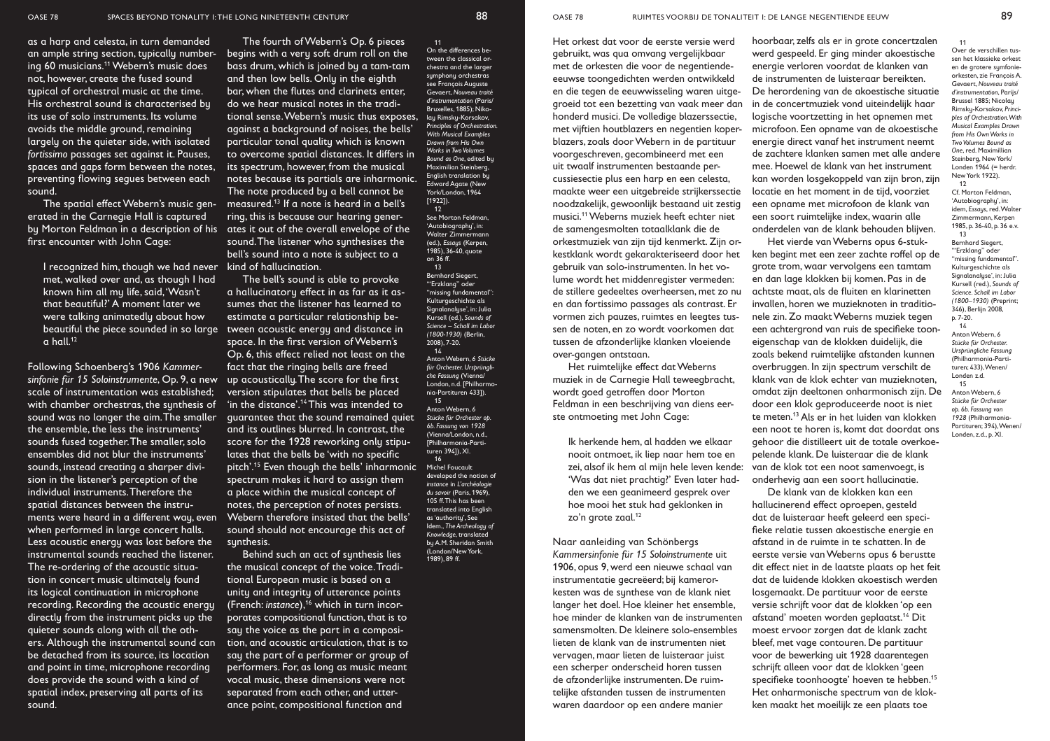as a harp and celesta, in turn demanded an ample string section, typically numbering 60 musicians.11 Webern's music does not, however, create the fused sound tupical of orchestral music at the time. His orchestral sound is characterised by its use of solo instruments. Its volume avoids the middle ground, remaining largely on the quieter side, with isolated *fortissimo* passages set against it. Pauses, spaces and gaps form between the notes, preventing flowing segues between each sound.

erated in the Carnegie Hall is captured first encounter with John Cage:

I recognized him, though we had never kind of hallucination. met, walked over and, as though I had known him all my life, said, 'Wasn't that beautiful?' A moment later we were talking animatedly about how  $a$  hall  $12$ 

Following Schoenberg's 1906 *Kammersinfonie für 15 Soloinstrumente*, Op. 9, a new scale of instrumentation was established; with chamber orchestras, the sunthesis of sound was no longer the aim. The smaller the ensemble, the less the instruments' sounds fused together. The smaller, solo ensembles did not blur the instruments' sounds, instead creating a sharper division in the listener's perception of the individual instruments. Therefore the spatial distances between the instruments were heard in a different way, even when performed in large concert halls. Less acoustic energy was lost before the instrumental sounds reached the listener. The re-ordering of the acoustic situation in concert music ultimately found its logical continuation in microphone recording. Recording the acoustic energy directly from the instrument picks up the quieter sounds along with all the others. Although the instrumental sound can be detached from its source, its location and point in time, microphone recording does provide the sound with a kind of spatial index, preserving all parts of its sound.

The spatial effect Webern's music gen-measured.13 If a note is heard in a bell's by Morton Feldman in a description of his ates it out of the overall envelope of the The fourth of Webern's Op. 6 pieces begins with a very soft drum roll on the bass drum, which is joined by a tam-tam and then low bells. Only in the eighth bar, when the flutes and clarinets enter, do we hear musical notes in the traditional sense. Webern's music thus exposes, against a background of noises, the bells' particular tonal quality which is known to overcome spatial distances. It differs in its spectrum, however, from the musical notes because its partials are inharmonic. The note produced by a bell cannot be ring, this is because our hearing genersound. The listener who synthesises the bell's sound into a note is subject to a

pitch'.<sup>15</sup> Even though the bells' inharmonic Michel Foucault beautiful the piece sounded in so large tween acoustic energy and distance in The bell's sound is able to provoke a hallucinatory effect in as far as it assumes that the listener has learned to estimate a particular relationship bespace. In the first version of Webern's Op. 6, this effect relied not least on the fact that the ringing bells are freed up acoustically. The score for the first version stipulates that bells be placed 'in the distance'.14 This was intended to guarantee that the sound remained quiet and its outlines blurred. In contrast, the score for the 1928 reworking only stipulates that the bells be 'with no specific spectrum makes it hard to assign them a place within the musical concept of notes, the perception of notes persists. Webern therefore insisted that the bells' sound should not encourage this act of synthesis.

> Behind such an act of synthesis lies the musical concept of the voice. Traditional European music is based on a unity and integrity of utterance points (French: *instance*),16 which in turn incorporates compositional function, that is to say the voice as the part in a composition, and acoustic articulation, that is to say the part of a performer or group of performers. For, as long as music meant vocal music, these dimensions were not separated from each other, and utterance point, compositional function and

On the differences between the classical orchestra and the larger symphony orchestras see François Auguste Gevaert, *Nouveau traité* 

*d'instrumentation* (Paris/ Bruxelles, 1885); Nikolay Rimsky-Korsakov, *Principles of Orchestration. With Musical Examples Drawn from His Own Works in Two Volumes Bound as One*, edited by Maximilian Steinberg, English translation by Edward Agate (New York/London, 1964

11

 $12<sup>12</sup>$ See Morton Feldman, 'Autobiography', in: Walter Zimmermann (ed.), *Essays* (Kerpen, 1985), 36-40, quote on 36 ff. 13

[1922]).

Bernhard Siegert, '"Erzklang" oder "missing fundamental": Kulturgeschichte als Signalanaluse', in: Julia Kursell (ed.), *Sounds of Science – Schall im Labor (1800-1930)* (Berlin, 2008), 7-20. 14 Anton Webern, *6 Stücke* 

*für Orchester. Ursprüngliche Fassung* (Vienna/ London, n.d. [Philharmonia-Partituren 433]). 15 Anton Webern, *6 Stücke für Orchester op. 6b. Fassung von 1928* (Vienna/London, n.d., [Philharmonia-Parti-

turen 394]), XI. 16 developed the notion of *instance* in *L'archéologie du savoir* (Paris, 1969), 105 ff. This has been translated into English

as 'authority', See Idem., *The Archeology of Knowledge*, translated by A.M. Sheridan Smith (London/New York, 1989), 89 ff.

Het orkest dat voor de eerste versie werd gebruikt, was qua omvang vergelijkbaar met de orkesten die voor de negentiendeeeuwse toongedichten werden ontwikkeld en die tegen de eeuwwisseling waren uitgegroeid tot een bezetting van vaak meer dan honderd musici. De volledige blazerssectie, met vijftien houtblazers en negentien koperblazers, zoals door Webern in de partituur voorgeschreven, gecombineerd met een uit twaalf instrumenten bestaande percussiesectie plus een harp en een celesta, maakte weer een uitgebreide strijkerssectie noodzakelijk, gewoonlijk bestaand uit zestig musici.11 Weberns muziek heeft echter niet de samengesmolten totaalklank die de orkestmuziek van zijn tijd kenmerkt. Zijn orkestklank wordt gekarakteriseerd door het gebruik van solo-instrumenten. In het volume wordt het middenregister vermeden: de stillere gedeeltes overheersen, met zo nu en dan fortissimo passages als contrast. Er vormen zich pauzes, ruimtes en leegtes tussen de noten, en zo wordt voorkomen dat tussen de afzonderlijke klanken vloeiende over-gangen ontstaan.

Het ruimtelijke effect dat Weberns muziek in de Carnegie Hall teweegbracht, wordt goed getroffen door Morton Feldman in een beschrijving van diens eerste ontmoeting met John Cage:

Ik herkende hem, al hadden we elkaar nooit ontmoet, ik liep naar hem toe en zei, alsof ik hem al mijn hele leven kende: 'Was dat niet prachtig?' Even later hadden we een geanimeerd gesprek over hoe mooi het stuk had geklonken in zo'n grote zaal.<sup>12</sup>

Naar aanleiding van Schönbergs *Kammersinfonie für 15 Soloinstrumente* uit 1906, opus 9, werd een nieuwe schaal van instrumentatie gecreëerd; bij kamerorkesten was de synthese van de klank niet langer het doel. Hoe kleiner het ensemble, hoe minder de klanken van de instrumenten samensmolten. De kleinere solo-ensembles lieten de klank van de instrumenten niet vervagen, maar lieten de luisteraar juist een scherper onderscheid horen tussen de afzonderlijke instrumenten. De ruimtelijke afstanden tussen de instrumenten waren daardoor op een andere manier

hoorbaar, zelfs als er in grote concertzalen werd gespeeld. Er ging minder akoestische energie verloren voordat de klanken van de instrumenten de luisteraar bereikten. De herordening van de akoestische situatie in de concertmuziek vond uiteindelijk haar logische voortzetting in het opnemen met microfoon. Een opname van de akoestische energie direct vanaf het instrument neemt de zachtere klanken samen met alle andere mee. Hoewel de klank van het instrument kan worden losgekoppeld van zijn bron, zijn locatie en het moment in de tijd, voorziet een opname met microfoon de klank van een soort ruimtelijke index, waarin alle onderdelen van de klank behouden blijven.

Het vierde van Weberns opus 6-stukken begint met een zeer zachte roffel op de grote trom, waar vervolgens een tamtam en dan lage klokken bij komen. Pas in de achtste maat, als de fluiten en klarinetten invallen, horen we muzieknoten in traditionele zin. Zo maakt Weberns muziek tegen een achtergrond van ruis de specifieke tooneigenschap van de klokken duidelijk, die zoals bekend ruimtelijke afstanden kunnen overbruggen. In zijn spectrum verschilt de klank van de klok echter van muzieknoten, omdat zijn deeltonen onharmonisch zijn. De door een klok geproduceerde noot is niet te meten.13 Als er in het luiden van klokken een noot te horen is, komt dat doordat ons gehoor die distilleert uit de totale overkoepelende klank. De luisteraar die de klank van de klok tot een noot samenvoegt, is onderhevig aan een soort hallucinatie.

 De klank van de klokken kan een hallucinerend effect oproepen, gesteld dat de luisteraar heeft geleerd een specifieke relatie tussen akoestische energie en afstand in de ruimte in te schatten. In de eerste versie van Weberns opus 6 berustte dit effect niet in de laatste plaats op het feit dat de luidende klokken akoestisch werden losgemaakt. De partituur voor de eerste versie schrijft voor dat de klokken 'op een afstand' moeten worden geplaatst.14 Dit moest ervoor zorgen dat de klank zacht bleef, met vage contouren. De partituur voor de bewerking uit 1928 daarentegen schrijft alleen voor dat de klokken 'geen specifieke toonhoogte' hoeven te hebben.<sup>15</sup> Het onharmonische spectrum van de klokken maakt het moeilijk ze een plaats toe

11

 13 Bernhard Siegert, '"Erzklang" oder "missing fundamental". Kulturgeschichte als Signalanalyse', in: Julia Kursell (red.), *Sounds of Science. Schall im Labor (1800–1930)* (Preprint; 346), Berlijn 2008, p. 7-20. 14 Anton Webern, *6 Stücke für Orchester. Ursprüngliche Fassung*  (Philharmonia-Partituren; 433), Wenen/ Londen z.d. 15 Anton Webern, *6 Stücke für Orchester op. 6b. Fassung von 1928* (Philharmonia-Partituren; 394), Wenen/ Londen, z.d., p. XI.

Over de verschillen tussen het klassieke orkest en de grotere sumfonieorkesten, zie François A. Gevaert, *Nouveau traité d'instrumentation*, Parijs/ Brussel 1885; Nicolay Rimsky-Korsakov, *Principles of Orchestration. With Musical Examples Drawn from His Own Works in Two Volumes Bound as One*, red. Maximillian Steinberg, New York/ Londen  $1964$  (= herdr. New York 1922). 12 Cf. Marton Feldman, 'Autobiography', in: idem, *Essays*, red. Walter Zimmermann, Kerpen 1985, p. 36-40, p. 36 e.v.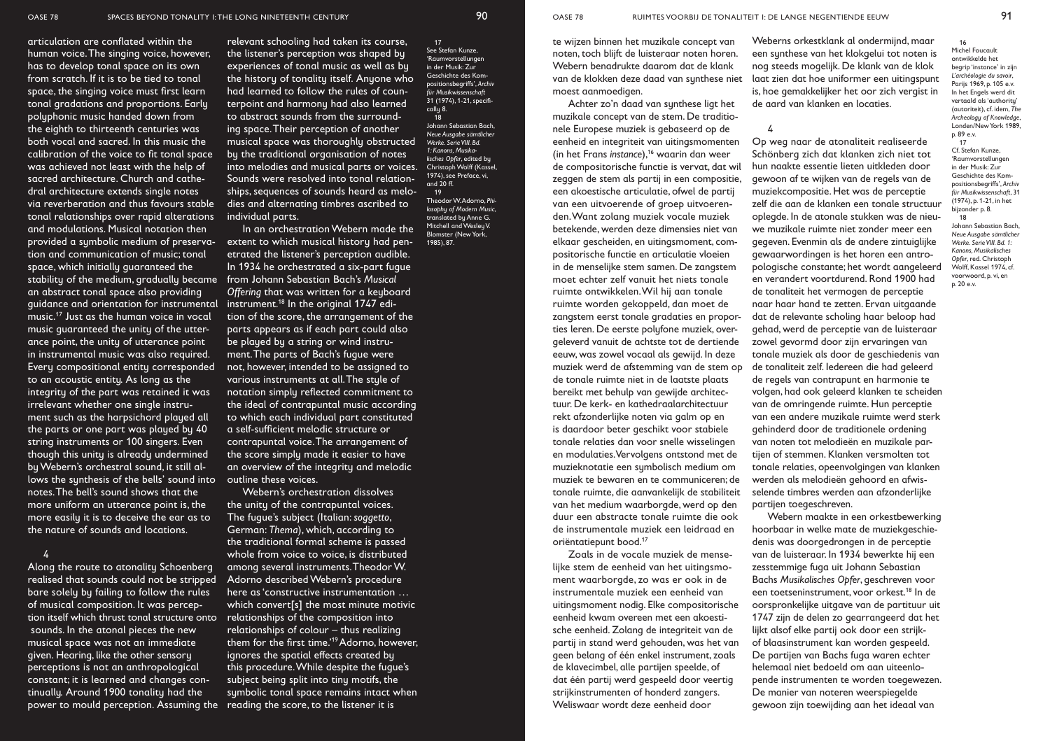articulation are conflated within the human voice. The singing voice, however, has to develop tonal space on its own from scratch. If it is to be tied to tonal space, the singing voice must first learn tonal gradations and proportions. Early polyphonic music handed down from the eighth to thirteenth centuries was both vocal and sacred. In this music the calibration of the voice to fit tonal space was achieved not least with the help of sacred architecture. Church and cathedral architecture extends single notes tonal relationships over rapid alterations and modulations. Musical notation then provided a symbolic medium of preservation and communication of music; tonal space, which initially guaranteed the stability of the medium, gradually became from Johann Sebastian Bach's *Musical*  an abstract tonal space also providing guidance and orientation for instrumental instrument.<sup>18</sup> In the original 1747 edimusic.17 Just as the human voice in vocal music guaranteed the unity of the utterance point, the unity of utterance point in instrumental music was also required. Every compositional entity corresponded to an acoustic entity. As long as the integrity of the part was retained it was irrelevant whether one single instrument such as the harpsichord played all the parts or one part was played by 40 string instruments or 100 singers. Even though this unity is already undermined by Webern's orchestral sound, it still allows the synthesis of the bells' sound into outline these voices. notes. The bell's sound shows that the more uniform an utterance point is, the more easily it is to deceive the ear as to the nature of sounds and locations.

### 4

Along the route to atonality Schoenberg realised that sounds could not be stripped bare solely by failing to follow the rules of musical composition. It was perception itself which thrust tonal structure onto relationships of the composition into sounds. In the atonal pieces the new musical space was not an immediate given. Hearing, like the other sensory perceptions is not an anthropological constant; it is learned and changes continually. Around 1900 tonality had the power to mould perception. Assuming the reading the score, to the listener it is

via reverberation and thus favours stable dies and alternating timbres ascribed to relevant schooling had taken its course, the listener's perception was shaped by experiences of tonal music as well as by the history of tonality itself. Anyone who had learned to follow the rules of counterpoint and harmony had also learned to abstract sounds from the surrounding space. Their perception of another musical space was thoroughly obstructed by the traditional organisation of notes into melodies and musical parts or voices. Sounds were resolved into tonal relationships, sequences of sounds heard as meloindividual parts.

> In an orchestration Webern made the extent to which musical history had penetrated the listener's perception audible. In 1934 he orchestrated a six-part fugue *Offering* that was written for a keyboard tion of the score, the arrangement of the parts appears as if each part could also be played by a string or wind instrument. The parts of Bach's fugue were not, however, intended to be assigned to various instruments at all. The style of notation simply reflected commitment to the ideal of contrapuntal music according to which each individual part constituted a self-sufficient melodic structure or contrapuntal voice. The arrangement of the score simply made it easier to have an overview of the integrity and melodic

Webern's orchestration dissolves the unity of the contrapuntal voices. The fugue's subject (Italian: *soggetto*, German: *Thema*), which, according to the traditional formal scheme is passed whole from voice to voice, is distributed among several instruments. Theodor W. Adorno described Webern's procedure here as 'constructive instrumentation … which convert[s] the most minute motivic relationships of colour – thus realizing them for the first time.'19 Adorno, however, ignores the spatial effects created by this procedure. While despite the fugue's subject being split into tiny motifs, the symbolic tonal space remains intact when

 17 See Stefan Kunze, 'Raumvorstellungen in der Musik: Zur Geschichte des Kompositionsbegriffs', *Archiv für Musikwissenschaft* .<br>31 (1974), 1-21, specifically 8. 18

Johann Sebastian Bach, *Neue Ausgabe sämtlicher Werke. Serie VIII. Bd. 1: Kanons, Musikalisches Opfer*, edited by Christoph Wolff (Kassel, 1974), see Preface, vi, and 20 ff. 19 Theodor W. Adorno, *Philosophy of Modern Music*, translated by Anne G. Mitchell and Wesley V. Blomster (New York,

1985), 87.

te wijzen binnen het muzikale concept van noten, toch blijft de luisteraar noten horen. Webern benadrukte daarom dat de klank van de klokken deze daad van synthese niet moest aanmoedigen.

Achter zo'n daad van synthese ligt het muzikale concept van de stem. De traditionele Europese muziek is gebaseerd op de eenheid en integriteit van uitingsmomenten (in het Frans *instance*),16 waarin dan weer de compositorische functie is vervat, dat wil zeggen de stem als partij in een compositie, een akoestische articulatie, ofwel de partij van een uitvoerende of groep uitvoerenden. Want zolang muziek vocale muziek betekende, werden deze dimensies niet van elkaar gescheiden, en uitingsmoment, compositorische functie en articulatie vloeien in de menselijke stem samen. De zangstem moet echter zelf vanuit het niets tonale ruimte ontwikkelen. Wil hij aan tonale ruimte worden gekoppeld, dan moet de zangstem eerst tonale gradaties en proporties leren. De eerste polyfone muziek, overgeleverd vanuit de achtste tot de dertiende eeuw, was zowel vocaal als gewijd. In deze muziek werd de afstemming van de stem op de tonale ruimte niet in de laatste plaats bereikt met behulp van gewijde architectuur. De kerk- en kathedraalarchitectuur rekt afzonderlijke noten via galm op en is daardoor beter geschikt voor stabiele tonale relaties dan voor snelle wisselingen en modulaties. Vervolgens ontstond met de muzieknotatie een symbolisch medium om muziek te bewaren en te communiceren; de tonale ruimte, die aanvankelijk de stabiliteit van het medium waarborgde, werd op den duur een abstracte tonale ruimte die ook de instrumentale muziek een leidraad en oriëntatiepunt bood.17

Zoals in de vocale muziek de menselijke stem de eenheid van het uitingsmoment waarborgde, zo was er ook in de instrumentale muziek een eenheid van uitingsmoment nodig. Elke compositorische eenheid kwam overeen met een akoestische eenheid. Zolang de integriteit van de partij in stand werd gehouden, was het van geen belang of één enkel instrument, zoals de klavecimbel, alle partijen speelde, of dat één partij werd gespeeld door veertig strijkinstrumenten of honderd zangers. Weliswaar wordt deze eenheid door

Weberns orkestklank al ondermijnd, maar een synthese van het klokgelui tot noten is nog steeds mogelijk. De klank van de klok laat zien dat hoe uniformer een uitingspunt is, hoe gemakkelijker het oor zich vergist in de aard van klanken en locaties.

4

Op weg naar de atonaliteit realiseerde Schönberg zich dat klanken zich niet tot hun naakte essentie lieten uitkleden door gewoon af te wijken van de regels van de muziekcompositie. Het was de perceptie zelf die aan de klanken een tonale structuur oplegde. In de atonale stukken was de nieuwe muzikale ruimte niet zonder meer een gegeven. Evenmin als de andere zintuiglijke gewaarwordingen is het horen een antropologische constante; het wordt aangeleerd en verandert voortdurend. Rond 1900 had de tonaliteit het vermogen de perceptie naar haar hand te zetten. Ervan uitgaande dat de relevante scholing haar beloop had gehad, werd de perceptie van de luisteraar zowel gevormd door zijn ervaringen van tonale muziek als door de geschiedenis van de tonaliteit zelf. Iedereen die had geleerd de regels van contrapunt en harmonie te volgen, had ook geleerd klanken te scheiden van de omringende ruimte. Hun perceptie van een andere muzikale ruimte werd sterk gehinderd door de traditionele ordening van noten tot melodieën en muzikale partijen of stemmen. Klanken versmolten tot tonale relaties, opeenvolgingen van klanken werden als melodieën gehoord en afwisselende timbres werden aan afzonderlijke partijen toegeschreven.

 Webern maakte in een orkestbewerking hoorbaar in welke mate de muziekgeschiedenis was doorgedrongen in de perceptie van de luisteraar. In 1934 bewerkte hij een zesstemmige fuga uit Johann Sebastian Bachs *Musikalisches Opfer*, geschreven voor een toetseninstrument, voor orkest.18 In de oorspronkelijke uitgave van de partituur uit 1747 zijn de delen zo gearrangeerd dat het lijkt alsof elke partij ook door een strijkof blaasinstrument kan worden gespeeld. De partijen van Bachs fuga waren echter helemaal niet bedoeld om aan uiteenlopende instrumenten te worden toegewezen. De manier van noteren weerspiegelde gewoon zijn toewijding aan het ideaal van

 16 Michel Foucault ontwikkelde het begrip 'instance' in zijn *L'archéologie du savoir*, Parijs 1969, p. 105 e.v. In het Engels werd dit vertaald als 'authority' (autoriteit), cf. idem, *The Archeology of Knowledge*, Londen/New York 1989, p. 89 e.v. 17 Cf. Stefan Kunze, 'Raumvorstellungen in der Musik: Zur Geschichte des Kompositionsbegriffs', *Archiv für Musikwissenschaft*, 31 (1974), p. 1-21, in het bijzonder p. 8. 18 Johann Sebastian Bach, *Neue Ausgabe sämtlicher Werke. Serie VIII. Bd. 1: Kanons, Musikalisches Opfer*, red. Christoph Wolff, Kassel 1974, cf. voorwoord, p. vi, en p. 20 e.v.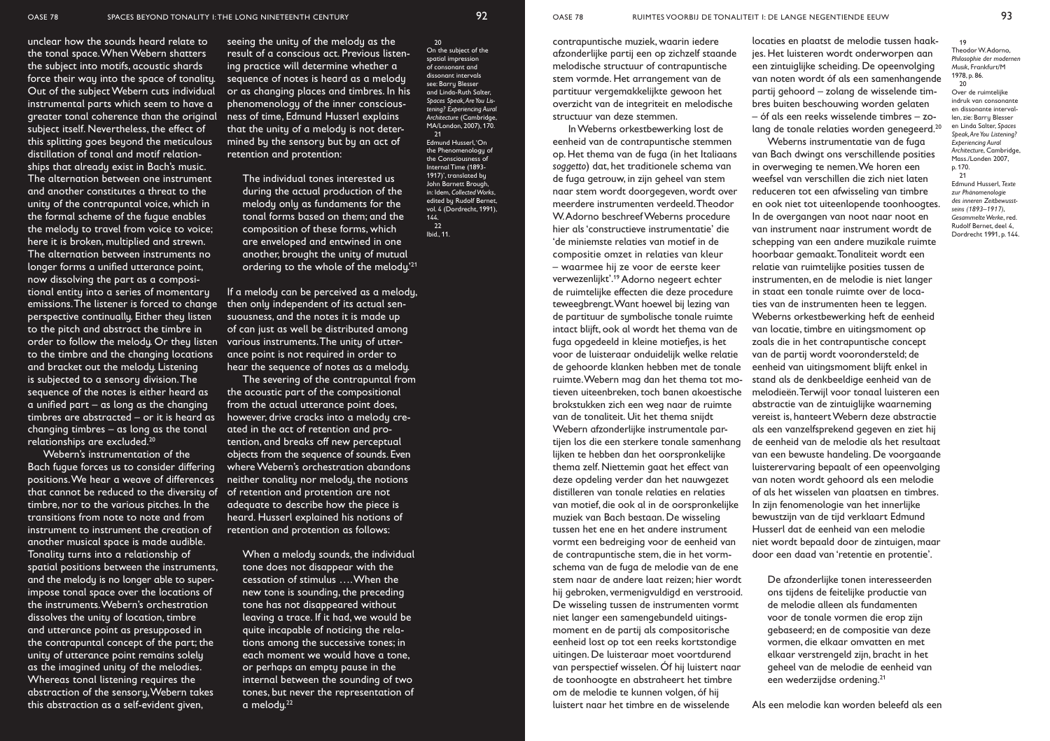unclear how the sounds heard relate to the tonal space. When Webern shatters the subject into motifs, acoustic shards force their way into the space of tonality. Out of the subject Webern cuts individual instrumental parts which seem to have a greater tonal coherence than the original subject itself. Nevertheless, the effect of this splitting goes beyond the meticulous distillation of tonal and motif relationships that already exist in Bach's music. The alternation between one instrument and another constitutes a threat to the unity of the contrapuntal voice, which in the formal scheme of the fugue enables the melody to travel from voice to voice; here it is broken, multiplied and strewn. The alternation between instruments no longer forms a unified utterance point, now dissolving the part as a compositional entity into a series of momentary emissions. The listener is forced to change perspective continually. Either they listen to the pitch and abstract the timbre in order to follow the melody. Or they listen various instruments. The unity of utterto the timbre and the changing locations and bracket out the melody. Listening is subjected to a sensory division. The sequence of the notes is either heard as a unified part – as long as the changing timbres are abstracted – or it is heard as changing timbres – as long as the tonal relationships are excluded.20

Webern's instrumentation of the Bach fugue forces us to consider differing positions. We hear a weave of differences that cannot be reduced to the diversity of timbre, nor to the various pitches. In the transitions from note to note and from instrument to instrument the creation of another musical space is made audible. Tonality turns into a relationship of spatial positions between the instruments, and the melody is no longer able to superimpose tonal space over the locations of the instruments. Webern's orchestration dissolves the unity of location, timbre and utterance point as presupposed in the contrapuntal concept of the part; the unity of utterance point remains solely as the imagined unity of the melodies. Whereas tonal listening requires the abstraction of the sensory, Webern takes this abstraction as a self-evident given,

seeing the unity of the melody as the result of a conscious act. Previous listening practice will determine whether a sequence of notes is heard as a melody or as changing places and timbres. In his phenomenology of the inner consciousness of time, Edmund Husserl explains that the unitu of a melodu is not determined by the sensory but by an act of retention and protention:

The individual tones interested us during the actual production of the melody only as fundaments for the tonal forms based on them; and the composition of these forms, which are enveloped and entwined in one another, brought the unity of mutual ordering to the whole of the melody.'21

If a melody can be perceived as a melody, then only independent of its actual sensuousness, and the notes it is made up of can just as well be distributed among ance point is not required in order to hear the sequence of notes as a melody.

The severing of the contrapuntal from the acoustic part of the compositional from the actual utterance point does, however, drive cracks into a melody created in the act of retention and protention, and breaks off new perceptual objects from the sequence of sounds. Even where Webern's orchestration abandons neither tonality nor melody, the notions of retention and protention are not adequate to describe how the piece is heard. Husserl explained his notions of retention and protention as follows:

When a melody sounds, the individual tone does not disappear with the cessation of stimulus …. When the new tone is sounding, the preceding tone has not disappeared without leaving a trace. If it had, we would be quite incapable of noticing the relations among the successive tones; in each moment we would have a tone, or perhaps an empty pause in the internal between the sounding of two tones, but never the representation of a melody.<sup>22</sup>

 20 On the subject of the spatial impression of consonant and dissonant intervals see: Barry Blesser and Linda-Ruth Salter, *Spaces Speak, Are You Listening? Experiencing Aural Architecture* (Cambridge, MA/London, 2007), 170.  $21$ 

Edmund Husserl, 'On the Phenomenology of the Consciousness of Internal Time (1893- 1917)', translated by John Barnett Brough, in: Idem, *Collected Works*, edited by Rudolf Bernet, vol. 4 (Dordrecht, 1991), 144.

 $22$ Ibid., 11. contrapuntische muziek, waarin iedere afzonderlijke partij een op zichzelf staande melodische structuur of contrapuntische stem vormde. Het arrangement van de partituur vergemakkelijkte gewoon het overzicht van de integriteit en melodische structuur van deze stemmen.

In Weberns orkestbewerking lost de eenheid van de contrapuntische stemmen op. Het thema van de fuga (in het Italiaans *soggetto*) dat, het traditionele schema van de fuga getrouw, in zijn geheel van stem naar stem wordt doorgegeven, wordt over meerdere instrumenten verdeeld. Theodor W. Adorno beschreef Weberns procedure hier als 'constructieve instrumentatie' die 'de miniemste relaties van motief in de compositie omzet in relaties van kleur – waarmee hij ze voor de eerste keer verwezenlijkt'.19 Adorno negeert echter de ruimtelijke effecten die deze procedure teweegbrengt. Want hoewel bij lezing van de partituur de symbolische tonale ruimte intact blijft, ook al wordt het thema van de fuga opgedeeld in kleine motiefjes, is het voor de luisteraar onduidelijk welke relatie de gehoorde klanken hebben met de tonale ruimte. Webern mag dan het thema tot motieven uiteenbreken, toch banen akoestische brokstukken zich een weg naar de ruimte van de tonaliteit. Uit het thema snijdt Webern afzonderlijke instrumentale partijen los die een sterkere tonale samenhang lijken te hebben dan het oorspronkelijke thema zelf. Niettemin gaat het effect van deze opdeling verder dan het nauwgezet distilleren van tonale relaties en relaties van motief, die ook al in de oorspronkelijke muziek van Bach bestaan. De wisseling tussen het ene en het andere instrument vormt een bedreiging voor de eenheid van de contrapuntische stem, die in het vormschema van de fuga de melodie van de ene stem naar de andere laat reizen; hier wordt hij gebroken, vermenigvuldigd en verstrooid. De wisseling tussen de instrumenten vormt niet langer een samengebundeld uitingsmoment en de partij als compositorische eenheid lost op tot een reeks kortstondige uitingen. De luisteraar moet voortdurend van perspectief wisselen. Óf hij luistert naar de toonhoogte en abstraheert het timbre om de melodie te kunnen volgen, óf hij luistert naar het timbre en de wisselende

locaties en plaatst de melodie tussen haakjes. Het luisteren wordt onderworpen aan een zintuiglijke scheiding. De opeenvolging van noten wordt óf als een samenhangende partij gehoord – zolang de wisselende timbres buiten beschouwing worden gelaten – óf als een reeks wisselende timbres – zolang de tonale relaties worden genegeerd.<sup>20</sup>

Weberns instrumentatie van de fuga van Bach dwingt ons verschillende posities in overweging te nemen. We horen een weefsel van verschillen die zich niet laten reduceren tot een afwisseling van timbre en ook niet tot uiteenlopende toonhoogtes. In de overgangen van noot naar noot en van instrument naar instrument wordt de schepping van een andere muzikale ruimte hoorbaar gemaakt. Tonaliteit wordt een relatie van ruimtelijke posities tussen de instrumenten, en de melodie is niet langer in staat een tonale ruimte over de locaties van de instrumenten heen te leggen. Weberns orkestbewerking heft de eenheid van locatie, timbre en uitingsmoment op zoals die in het contrapuntische concept van de partij wordt voorondersteld; de eenheid van uitingsmoment blijft enkel in stand als de denkbeeldige eenheid van de melodieën. Terwijl voor tonaal luisteren een abstractie van de zintuiglijke waarneming vereist is, hanteert Webern deze abstractie als een vanzelfsprekend gegeven en ziet hij de eenheid van de melodie als het resultaat van een bewuste handeling. De voorgaande luisterervaring bepaalt of een opeenvolging van noten wordt gehoord als een melodie of als het wisselen van plaatsen en timbres. In zijn fenomenologie van het innerlijke bewustzijn van de tijd verklaart Edmund Husserl dat de eenheid van een melodie niet wordt bepaald door de zintuigen, maar door een daad van 'retentie en protentie'.

De afzonderlijke tonen interesseerden ons tijdens de feitelijke productie van de melodie alleen als fundamenten voor de tonale vormen die erop zijn gebaseerd; en de compositie van deze vormen, die elkaar omvatten en met elkaar verstrengeld zijn, bracht in het geheel van de melodie de eenheid van een wederzijdse ordening.21

Theodor W. Adorno, *Philosophie der modernen Musik*, Frankfurt/M 1978, p. 86.  $20$ Over de ruimtelijke indruk van consonante en dissonante intervallen, zie: Barry Blesser en Linda Salter, *Spaces Speak, Are You Listening? Experiencing Aural Architecture*, Cambridge, Mass./Londen 2007, p. 170.  $21$ Edmund Husserl, *Texte zur Phänomenologie des inneren Zeitbewusstseins (1893–1917)*, *Gesammelte Werke*, red.

Rudolf Bernet, deel 4, Dordrecht 1991, p. 144.

19

Als een melodie kan worden beleefd als een